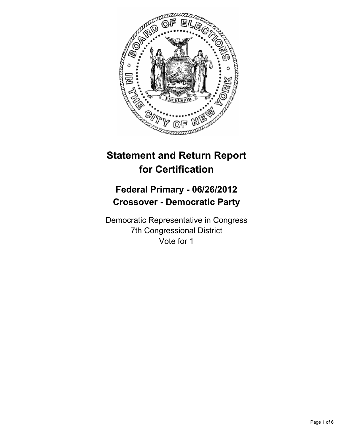

# **Statement and Return Report for Certification**

# **Federal Primary - 06/26/2012 Crossover - Democratic Party**

Democratic Representative in Congress 7th Congressional District Vote for 1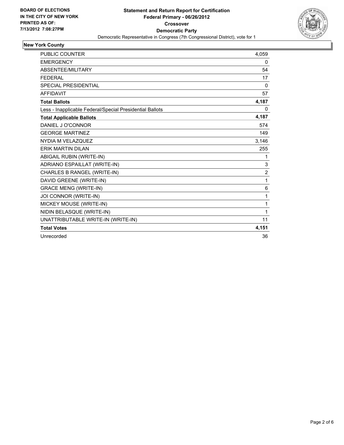

## **New York County**

| <b>PUBLIC COUNTER</b>                                    | 4,059          |
|----------------------------------------------------------|----------------|
| <b>EMERGENCY</b>                                         | 0              |
| ABSENTEE/MILITARY                                        | 54             |
| <b>FEDERAL</b>                                           | 17             |
| <b>SPECIAL PRESIDENTIAL</b>                              | $\mathbf{0}$   |
| <b>AFFIDAVIT</b>                                         | 57             |
| <b>Total Ballots</b>                                     | 4,187          |
| Less - Inapplicable Federal/Special Presidential Ballots | 0              |
| <b>Total Applicable Ballots</b>                          | 4,187          |
| DANIEL J O'CONNOR                                        | 574            |
| <b>GEORGE MARTINEZ</b>                                   | 149            |
| NYDIA M VELAZQUEZ                                        | 3,146          |
| <b>ERIK MARTIN DILAN</b>                                 | 255            |
| ABIGAIL RUBIN (WRITE-IN)                                 | 1              |
| ADRIANO ESPAILLAT (WRITE-IN)                             | 3              |
| CHARLES B RANGEL (WRITE-IN)                              | $\overline{c}$ |
| DAVID GREENE (WRITE-IN)                                  | 1              |
| <b>GRACE MENG (WRITE-IN)</b>                             | 6              |
| JOI CONNOR (WRITE-IN)                                    | 1              |
| MICKEY MOUSE (WRITE-IN)                                  | 1              |
| NIDIN BELASQUE (WRITE-IN)                                | 1              |
| UNATTRIBUTABLE WRITE-IN (WRITE-IN)                       | 11             |
| <b>Total Votes</b>                                       | 4,151          |
| Unrecorded                                               | 36             |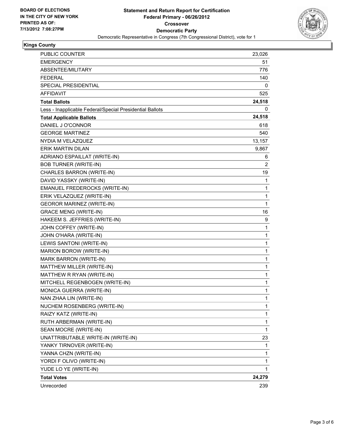

### **Kings County**

| PUBLIC COUNTER                                           | 23,026 |
|----------------------------------------------------------|--------|
| <b>EMERGENCY</b>                                         | 51     |
| ABSENTEE/MILITARY                                        | 776    |
| <b>FEDERAL</b>                                           | 140    |
| SPECIAL PRESIDENTIAL                                     | 0      |
| <b>AFFIDAVIT</b>                                         | 525    |
| <b>Total Ballots</b>                                     | 24,518 |
| Less - Inapplicable Federal/Special Presidential Ballots | 0      |
| <b>Total Applicable Ballots</b>                          | 24,518 |
| DANIEL J O'CONNOR                                        | 618    |
| <b>GEORGE MARTINEZ</b>                                   | 540    |
| NYDIA M VELAZQUEZ                                        | 13,157 |
| <b>ERIK MARTIN DILAN</b>                                 | 9,867  |
| ADRIANO ESPAILLAT (WRITE-IN)                             | 6      |
| <b>BOB TURNER (WRITE-IN)</b>                             | 2      |
| CHARLES BARRON (WRITE-IN)                                | 19     |
| DAVID YASSKY (WRITE-IN)                                  | 1      |
| EMANUEL FREDEROCKS (WRITE-IN)                            | 1      |
| ERIK VELAZQUEZ (WRITE-IN)                                | 1      |
| <b>GEOROR MARINEZ (WRITE-IN)</b>                         | 1      |
| <b>GRACE MENG (WRITE-IN)</b>                             | 16     |
| HAKEEM S. JEFFRIES (WRITE-IN)                            | 9      |
| JOHN COFFEY (WRITE-IN)                                   | 1      |
| JOHN O'HARA (WRITE-IN)                                   | 1      |
| LEWIS SANTONI (WRITE-IN)                                 | 1      |
| MARION BOROW (WRITE-IN)                                  | 1      |
| MARK BARRON (WRITE-IN)                                   | 1      |
| MATTHEW MILLER (WRITE-IN)                                | 1      |
| MATTHEW R RYAN (WRITE-IN)                                | 1      |
| MITCHELL REGENBOGEN (WRITE-IN)                           | 1      |
| MONICA GUERRA (WRITE-IN)                                 | 1      |
| NAN ZHAA LIN (WRITE-IN)                                  | 1      |
| NUCHEM ROSENBERG (WRITE-IN)                              | 1      |
| RAIZY KATZ (WRITE-IN)                                    | 1      |
| RUTH ARBERMAN (WRITE-IN)                                 | 1      |
| SEAN MOCRE (WRITE-IN)                                    | 1      |
| UNATTRIBUTABLE WRITE-IN (WRITE-IN)                       | 23     |
| YANKY TIRNOVER (WRITE-IN)                                | 1      |
| YANNA CHZN (WRITE-IN)                                    | 1      |
| YORDI F OLIVO (WRITE-IN)                                 | 1      |
| YUDE LO YE (WRITE-IN)                                    | 1      |
| <b>Total Votes</b>                                       | 24,279 |
| Unrecorded                                               | 239    |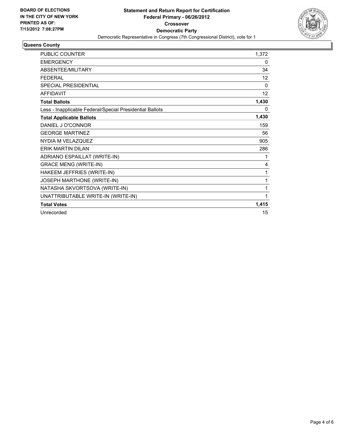

#### **Queens County**

| <b>PUBLIC COUNTER</b>                                    | 1,372           |
|----------------------------------------------------------|-----------------|
| <b>EMERGENCY</b>                                         | 0               |
| ABSENTEE/MILITARY                                        | 34              |
| <b>FEDERAL</b>                                           | 12 <sup>°</sup> |
| <b>SPECIAL PRESIDENTIAL</b>                              | $\Omega$        |
| <b>AFFIDAVIT</b>                                         | 12 <sup>°</sup> |
| <b>Total Ballots</b>                                     | 1,430           |
| Less - Inapplicable Federal/Special Presidential Ballots | 0               |
| <b>Total Applicable Ballots</b>                          | 1,430           |
| DANIEL J O'CONNOR                                        | 159             |
| <b>GEORGE MARTINEZ</b>                                   | 56              |
| NYDIA M VELAZQUEZ                                        | 905             |
| <b>ERIK MARTIN DILAN</b>                                 | 286             |
| ADRIANO ESPAILLAT (WRITE-IN)                             | 1               |
| <b>GRACE MENG (WRITE-IN)</b>                             | 4               |
| HAKEEM JEFFRIES (WRITE-IN)                               | 1               |
| JOSEPH MARTHONE (WRITE-IN)                               | 1               |
| NATASHA SKVORTSOVA (WRITE-IN)                            | 1               |
| UNATTRIBUTABLE WRITE-IN (WRITE-IN)                       | 1               |
| <b>Total Votes</b>                                       | 1,415           |
| Unrecorded                                               | 15              |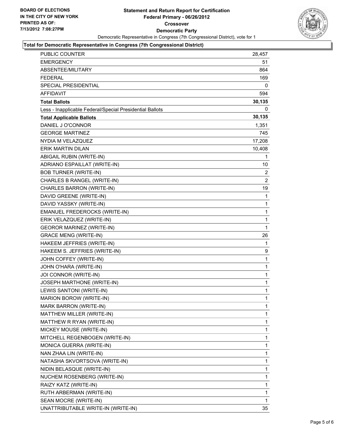

## **Total for Democratic Representative in Congress (7th Congressional District)**

| PUBLIC COUNTER                                           | 28,457       |
|----------------------------------------------------------|--------------|
| EMERGENCY                                                | 51           |
| ABSENTEE/MILITARY                                        | 864          |
| FEDERAL                                                  | 169          |
| SPECIAL PRESIDENTIAL                                     | 0            |
| <b>AFFIDAVIT</b>                                         | 594          |
| <b>Total Ballots</b>                                     | 30,135       |
| Less - Inapplicable Federal/Special Presidential Ballots | 0            |
| <b>Total Applicable Ballots</b>                          | 30,135       |
| DANIEL J O'CONNOR                                        | 1,351        |
| <b>GEORGE MARTINEZ</b>                                   | 745          |
| NYDIA M VELAZQUEZ                                        | 17,208       |
| ERIK MARTIN DILAN                                        | 10,408       |
| ABIGAIL RUBIN (WRITE-IN)                                 | 1            |
| ADRIANO ESPAILLAT (WRITE-IN)                             | 10           |
| <b>BOB TURNER (WRITE-IN)</b>                             | 2            |
| CHARLES B RANGEL (WRITE-IN)                              | 2            |
| CHARLES BARRON (WRITE-IN)                                | 19           |
| DAVID GREENE (WRITE-IN)                                  | 1            |
| DAVID YASSKY (WRITE-IN)                                  | 1            |
| EMANUEL FREDEROCKS (WRITE-IN)                            | 1            |
| ERIK VELAZQUEZ (WRITE-IN)                                | $\mathbf{1}$ |
| <b>GEOROR MARINEZ (WRITE-IN)</b>                         | 1            |
| <b>GRACE MENG (WRITE-IN)</b>                             | 26           |
| HAKEEM JEFFRIES (WRITE-IN)                               | 1            |
| HAKEEM S. JEFFRIES (WRITE-IN)                            | 9            |
| JOHN COFFEY (WRITE-IN)                                   | 1            |
| JOHN O'HARA (WRITE-IN)                                   | 1            |
| JOI CONNOR (WRITE-IN)                                    | 1            |
| JOSEPH MARTHONE (WRITE-IN)                               | 1            |
| LEWIS SANTONI (WRITE-IN)                                 | $\mathbf{1}$ |
| MARION BOROW (WRITE-IN)                                  | 1            |
| MARK BARRON (WRITE-IN)                                   | 1            |
| MATTHEW MILLER (WRITE-IN)                                | 1            |
| MATTHEW R RYAN (WRITE-IN)                                | 1            |
| MICKEY MOUSE (WRITE-IN)                                  | 1            |
| MITCHELL REGENBOGEN (WRITE-IN)                           | 1            |
| MONICA GUERRA (WRITE-IN)                                 | 1            |
| NAN ZHAA LIN (WRITE-IN)                                  | 1            |
| NATASHA SKVORTSOVA (WRITE-IN)                            | 1            |
| NIDIN BELASQUE (WRITE-IN)                                | 1            |
| NUCHEM ROSENBERG (WRITE-IN)                              | 1            |
| RAIZY KATZ (WRITE-IN)                                    | 1            |
| RUTH ARBERMAN (WRITE-IN)                                 | 1            |
| SEAN MOCRE (WRITE-IN)                                    | 1            |
| UNATTRIBUTABLE WRITE-IN (WRITE-IN)                       | 35           |